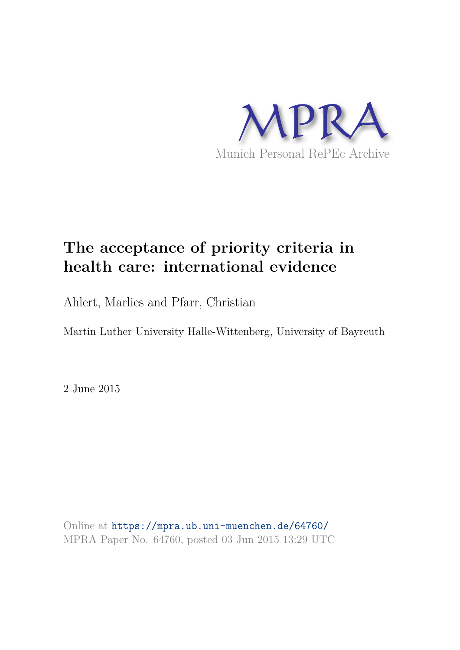

# **The acceptance of priority criteria in health care: international evidence**

Ahlert, Marlies and Pfarr, Christian

Martin Luther University Halle-Wittenberg, University of Bayreuth

2 June 2015

Online at https://mpra.ub.uni-muenchen.de/64760/ MPRA Paper No. 64760, posted 03 Jun 2015 13:29 UTC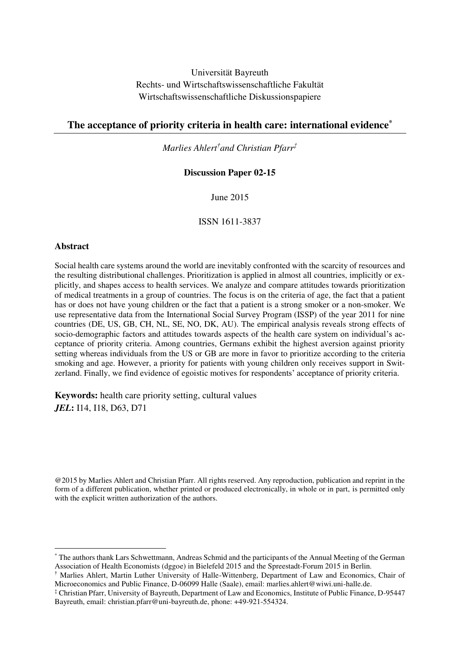Universität Bayreuth Rechts- und Wirtschaftswissenschaftliche Fakultät Wirtschaftswissenschaftliche Diskussionspapiere

## **The acceptance of priority criteria in health care: international evidence\***

*Marlies Ahlert† and Christian Pfarr‡*

#### **Discussion Paper 02-15**

June 2015

ISSN 1611-3837

#### **Abstract**

-

Social health care systems around the world are inevitably confronted with the scarcity of resources and the resulting distributional challenges. Prioritization is applied in almost all countries, implicitly or explicitly, and shapes access to health services. We analyze and compare attitudes towards prioritization of medical treatments in a group of countries. The focus is on the criteria of age, the fact that a patient has or does not have young children or the fact that a patient is a strong smoker or a non-smoker. We use representative data from the International Social Survey Program (ISSP) of the year 2011 for nine countries (DE, US, GB, CH, NL, SE, NO, DK, AU). The empirical analysis reveals strong effects of socio-demographic factors and attitudes towards aspects of the health care system on individual's acceptance of priority criteria. Among countries, Germans exhibit the highest aversion against priority setting whereas individuals from the US or GB are more in favor to prioritize according to the criteria smoking and age. However, a priority for patients with young children only receives support in Switzerland. Finally, we find evidence of egoistic motives for respondents' acceptance of priority criteria.

**Keywords:** health care priority setting, cultural values *JEL***:** I14, I18, D63, D71

@2015 by Marlies Ahlert and Christian Pfarr. All rights reserved. Any reproduction, publication and reprint in the form of a different publication, whether printed or produced electronically, in whole or in part, is permitted only with the explicit written authorization of the authors.

<sup>\*</sup> The authors thank Lars Schwettmann, Andreas Schmid and the participants of the Annual Meeting of the German Association of Health Economists (dggoe) in Bielefeld 2015 and the Spreestadt-Forum 2015 in Berlin.

<sup>†</sup> Marlies Ahlert, Martin Luther University of Halle-Wittenberg, Department of Law and Economics, Chair of Microeconomics and Public Finance, D-06099 Halle (Saale), email: marlies.ahlert@wiwi.uni-halle.de.

<sup>‡</sup> Christian Pfarr, University of Bayreuth, Department of Law and Economics, Institute of Public Finance, D-95447 Bayreuth, email: christian.pfarr@uni-bayreuth.de, phone: +49-921-554324.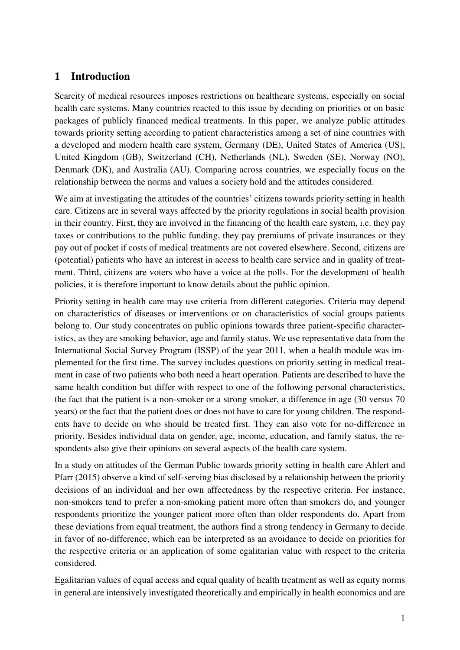# **1 Introduction**

Scarcity of medical resources imposes restrictions on healthcare systems, especially on social health care systems. Many countries reacted to this issue by deciding on priorities or on basic packages of publicly financed medical treatments. In this paper, we analyze public attitudes towards priority setting according to patient characteristics among a set of nine countries with a developed and modern health care system, Germany (DE), United States of America (US), United Kingdom (GB), Switzerland (CH), Netherlands (NL), Sweden (SE), Norway (NO), Denmark (DK), and Australia (AU). Comparing across countries, we especially focus on the relationship between the norms and values a society hold and the attitudes considered.

We aim at investigating the attitudes of the countries' citizens towards priority setting in health care. Citizens are in several ways affected by the priority regulations in social health provision in their country. First, they are involved in the financing of the health care system, i.e. they pay taxes or contributions to the public funding, they pay premiums of private insurances or they pay out of pocket if costs of medical treatments are not covered elsewhere. Second, citizens are (potential) patients who have an interest in access to health care service and in quality of treatment. Third, citizens are voters who have a voice at the polls. For the development of health policies, it is therefore important to know details about the public opinion.

Priority setting in health care may use criteria from different categories. Criteria may depend on characteristics of diseases or interventions or on characteristics of social groups patients belong to. Our study concentrates on public opinions towards three patient-specific characteristics, as they are smoking behavior, age and family status. We use representative data from the International Social Survey Program (ISSP) of the year 2011, when a health module was implemented for the first time. The survey includes questions on priority setting in medical treatment in case of two patients who both need a heart operation. Patients are described to have the same health condition but differ with respect to one of the following personal characteristics, the fact that the patient is a non-smoker or a strong smoker, a difference in age (30 versus 70 years) or the fact that the patient does or does not have to care for young children. The respondents have to decide on who should be treated first. They can also vote for no-difference in priority. Besides individual data on gender, age, income, education, and family status, the respondents also give their opinions on several aspects of the health care system.

In a study on attitudes of the German Public towards priority setting in health care Ahlert and Pfarr (2015) observe a kind of self-serving bias disclosed by a relationship between the priority decisions of an individual and her own affectedness by the respective criteria. For instance, non-smokers tend to prefer a non-smoking patient more often than smokers do, and younger respondents prioritize the younger patient more often than older respondents do. Apart from these deviations from equal treatment, the authors find a strong tendency in Germany to decide in favor of no-difference, which can be interpreted as an avoidance to decide on priorities for the respective criteria or an application of some egalitarian value with respect to the criteria considered.

Egalitarian values of equal access and equal quality of health treatment as well as equity norms in general are intensively investigated theoretically and empirically in health economics and are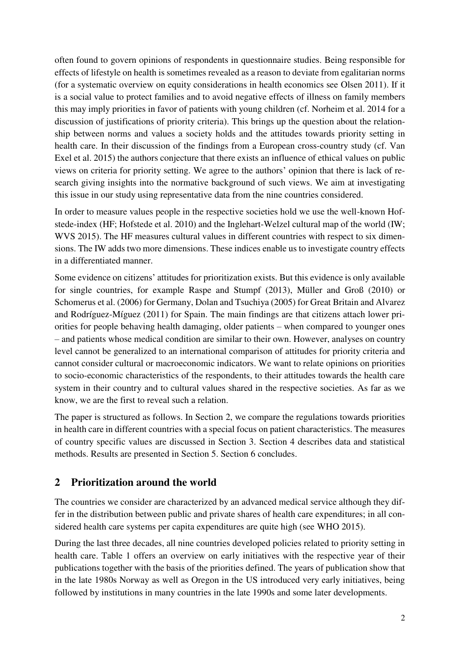often found to govern opinions of respondents in questionnaire studies. Being responsible for effects of lifestyle on health is sometimes revealed as a reason to deviate from egalitarian norms (for a systematic overview on equity considerations in health economics see Olsen 2011). If it is a social value to protect families and to avoid negative effects of illness on family members this may imply priorities in favor of patients with young children (cf. Norheim et al. 2014 for a discussion of justifications of priority criteria). This brings up the question about the relationship between norms and values a society holds and the attitudes towards priority setting in health care. In their discussion of the findings from a European cross-country study (cf. Van Exel et al. 2015) the authors conjecture that there exists an influence of ethical values on public views on criteria for priority setting. We agree to the authors' opinion that there is lack of research giving insights into the normative background of such views. We aim at investigating this issue in our study using representative data from the nine countries considered.

In order to measure values people in the respective societies hold we use the well-known Hofstede-index (HF; Hofstede et al. 2010) and the Inglehart-Welzel cultural map of the world (IW; WVS 2015). The HF measures cultural values in different countries with respect to six dimensions. The IW adds two more dimensions. These indices enable us to investigate country effects in a differentiated manner.

Some evidence on citizens' attitudes for prioritization exists. But this evidence is only available for single countries, for example Raspe and Stumpf (2013), Müller and Groß (2010) or Schomerus et al. (2006) for Germany, Dolan and Tsuchiya (2005) for Great Britain and Alvarez and Rodríguez-Míguez (2011) for Spain. The main findings are that citizens attach lower priorities for people behaving health damaging, older patients – when compared to younger ones – and patients whose medical condition are similar to their own. However, analyses on country level cannot be generalized to an international comparison of attitudes for priority criteria and cannot consider cultural or macroeconomic indicators. We want to relate opinions on priorities to socio-economic characteristics of the respondents, to their attitudes towards the health care system in their country and to cultural values shared in the respective societies. As far as we know, we are the first to reveal such a relation.

The paper is structured as follows. In Section 2, we compare the regulations towards priorities in health care in different countries with a special focus on patient characteristics. The measures of country specific values are discussed in Section 3. Section 4 describes data and statistical methods. Results are presented in Section 5. Section 6 concludes.

# **2 Prioritization around the world**

The countries we consider are characterized by an advanced medical service although they differ in the distribution between public and private shares of health care expenditures; in all considered health care systems per capita expenditures are quite high (see WHO 2015).

During the last three decades, all nine countries developed policies related to priority setting in health care. Table 1 offers an overview on early initiatives with the respective year of their publications together with the basis of the priorities defined. The years of publication show that in the late 1980s Norway as well as Oregon in the US introduced very early initiatives, being followed by institutions in many countries in the late 1990s and some later developments.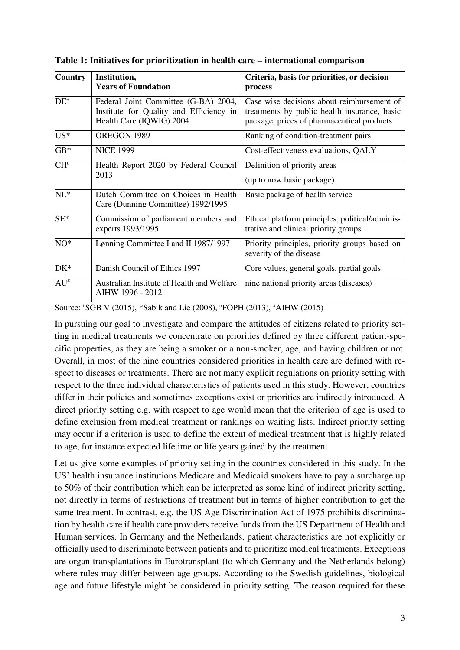| Country                                        | Institution,<br><b>Years of Foundation</b>                                                                  | Criteria, basis for priorities, or decision<br>process                                                                                   |  |  |
|------------------------------------------------|-------------------------------------------------------------------------------------------------------------|------------------------------------------------------------------------------------------------------------------------------------------|--|--|
| $DE^+$                                         | Federal Joint Committee (G-BA) 2004,<br>Institute for Quality and Efficiency in<br>Health Care (IQWIG) 2004 | Case wise decisions about reimbursement of<br>treatments by public health insurance, basic<br>package, prices of pharmaceutical products |  |  |
| $US^*$                                         | OREGON 1989                                                                                                 | Ranking of condition-treatment pairs                                                                                                     |  |  |
| $GB*$                                          | <b>NICE 1999</b>                                                                                            | Cost-effectiveness evaluations, QALY                                                                                                     |  |  |
| CH <sup>o</sup>                                | Health Report 2020 by Federal Council<br>2013                                                               | Definition of priority areas<br>(up to now basic package)                                                                                |  |  |
| $NL^*$                                         | Dutch Committee on Choices in Health<br>Care (Dunning Committee) 1992/1995                                  | Basic package of health service                                                                                                          |  |  |
| $SE^*$                                         | Commission of parliament members and<br>experts 1993/1995                                                   | Ethical platform principles, political/adminis-<br>trative and clinical priority groups                                                  |  |  |
| $NO^*$<br>Lønning Committee I and II 1987/1997 |                                                                                                             | Priority principles, priority groups based on<br>severity of the disease                                                                 |  |  |
| $DK*$                                          | Danish Council of Ethics 1997                                                                               | Core values, general goals, partial goals                                                                                                |  |  |
| $AU^*$                                         | Australian Institute of Health and Welfare<br>AIHW 1996 - 2012                                              | nine national priority areas (diseases)                                                                                                  |  |  |

**Table 1: Initiatives for prioritization in health care – international comparison** 

Source: *\*SGB V (2015), \*Sabik and Lie (2008), °FOPH (2013), <sup>#</sup>AIHW (2015)* 

In pursuing our goal to investigate and compare the attitudes of citizens related to priority setting in medical treatments we concentrate on priorities defined by three different patient-specific properties, as they are being a smoker or a non-smoker, age, and having children or not. Overall, in most of the nine countries considered priorities in health care are defined with respect to diseases or treatments. There are not many explicit regulations on priority setting with respect to the three individual characteristics of patients used in this study. However, countries differ in their policies and sometimes exceptions exist or priorities are indirectly introduced. A direct priority setting e.g. with respect to age would mean that the criterion of age is used to define exclusion from medical treatment or rankings on waiting lists. Indirect priority setting may occur if a criterion is used to define the extent of medical treatment that is highly related to age, for instance expected lifetime or life years gained by the treatment.

Let us give some examples of priority setting in the countries considered in this study. In the US' health insurance institutions Medicare and Medicaid smokers have to pay a surcharge up to 50% of their contribution which can be interpreted as some kind of indirect priority setting, not directly in terms of restrictions of treatment but in terms of higher contribution to get the same treatment. In contrast, e.g. the US Age Discrimination Act of 1975 prohibits discrimination by health care if health care providers receive funds from the US Department of Health and Human services. In Germany and the Netherlands, patient characteristics are not explicitly or officially used to discriminate between patients and to prioritize medical treatments. Exceptions are organ transplantations in Eurotransplant (to which Germany and the Netherlands belong) where rules may differ between age groups. According to the Swedish guidelines, biological age and future lifestyle might be considered in priority setting. The reason required for these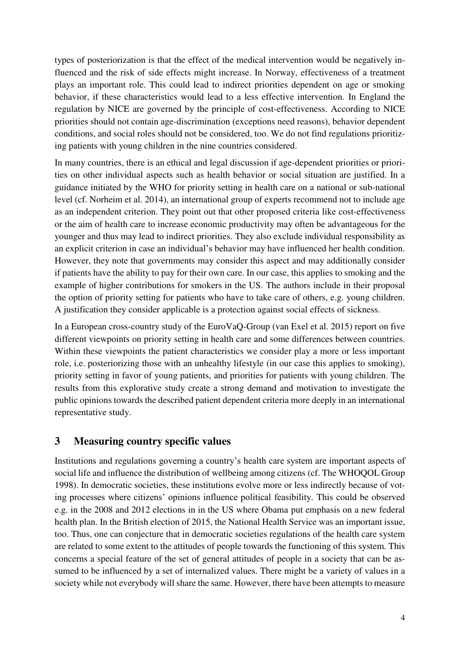types of posteriorization is that the effect of the medical intervention would be negatively influenced and the risk of side effects might increase. In Norway, effectiveness of a treatment plays an important role. This could lead to indirect priorities dependent on age or smoking behavior, if these characteristics would lead to a less effective intervention. In England the regulation by NICE are governed by the principle of cost-effectiveness. According to NICE priorities should not contain age-discrimination (exceptions need reasons), behavior dependent conditions, and social roles should not be considered, too. We do not find regulations prioritizing patients with young children in the nine countries considered.

In many countries, there is an ethical and legal discussion if age-dependent priorities or priorities on other individual aspects such as health behavior or social situation are justified. In a guidance initiated by the WHO for priority setting in health care on a national or sub-national level (cf. Norheim et al. 2014), an international group of experts recommend not to include age as an independent criterion. They point out that other proposed criteria like cost-effectiveness or the aim of health care to increase economic productivity may often be advantageous for the younger and thus may lead to indirect priorities. They also exclude individual responsibility as an explicit criterion in case an individual's behavior may have influenced her health condition. However, they note that governments may consider this aspect and may additionally consider if patients have the ability to pay for their own care. In our case, this applies to smoking and the example of higher contributions for smokers in the US. The authors include in their proposal the option of priority setting for patients who have to take care of others, e.g. young children. A justification they consider applicable is a protection against social effects of sickness.

In a European cross-country study of the EuroVaQ-Group (van Exel et al. 2015) report on five different viewpoints on priority setting in health care and some differences between countries. Within these viewpoints the patient characteristics we consider play a more or less important role, i.e. posteriorizing those with an unhealthy lifestyle (in our case this applies to smoking), priority setting in favor of young patients, and priorities for patients with young children. The results from this explorative study create a strong demand and motivation to investigate the public opinions towards the described patient dependent criteria more deeply in an international representative study.

# **3 Measuring country specific values**

Institutions and regulations governing a country's health care system are important aspects of social life and influence the distribution of wellbeing among citizens (cf. The WHOQOL Group 1998). In democratic societies, these institutions evolve more or less indirectly because of voting processes where citizens' opinions influence political feasibility. This could be observed e.g. in the 2008 and 2012 elections in in the US where Obama put emphasis on a new federal health plan. In the British election of 2015, the National Health Service was an important issue, too. Thus, one can conjecture that in democratic societies regulations of the health care system are related to some extent to the attitudes of people towards the functioning of this system. This concerns a special feature of the set of general attitudes of people in a society that can be assumed to be influenced by a set of internalized values. There might be a variety of values in a society while not everybody will share the same. However, there have been attempts to measure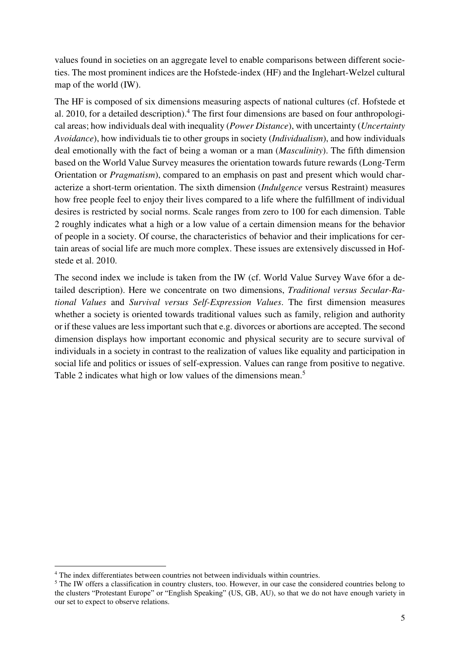values found in societies on an aggregate level to enable comparisons between different societies. The most prominent indices are the Hofstede-index (HF) and the Inglehart-Welzel cultural map of the world (IW).

The HF is composed of six dimensions measuring aspects of national cultures (cf. Hofstede et al. 2010, for a detailed description).<sup>4</sup> The first four dimensions are based on four anthropological areas; how individuals deal with inequality (*Power Distance*), with uncertainty (*Uncertainty Avoidance*), how individuals tie to other groups in society (*Individualism*), and how individuals deal emotionally with the fact of being a woman or a man (*Masculinity*). The fifth dimension based on the World Value Survey measures the orientation towards future rewards (Long-Term Orientation or *Pragmatism*), compared to an emphasis on past and present which would characterize a short-term orientation. The sixth dimension (*Indulgence* versus Restraint) measures how free people feel to enjoy their lives compared to a life where the fulfillment of individual desires is restricted by social norms. Scale ranges from zero to 100 for each dimension. Table 2 roughly indicates what a high or a low value of a certain dimension means for the behavior of people in a society. Of course, the characteristics of behavior and their implications for certain areas of social life are much more complex. These issues are extensively discussed in Hofstede et al. 2010.

The second index we include is taken from the IW (cf. World Value Survey Wave 6for a detailed description). Here we concentrate on two dimensions, *Traditional versus Secular-Rational Values* and *Survival versus Self-Expression Values*. The first dimension measures whether a society is oriented towards traditional values such as family, religion and authority or if these values are less important such that e.g. divorces or abortions are accepted. The second dimension displays how important economic and physical security are to secure survival of individuals in a society in contrast to the realization of values like equality and participation in social life and politics or issues of self-expression. Values can range from positive to negative. Table 2 indicates what high or low values of the dimensions mean.<sup>5</sup>

 4 The index differentiates between countries not between individuals within countries.

<sup>&</sup>lt;sup>5</sup> The IW offers a classification in country clusters, too. However, in our case the considered countries belong to the clusters "Protestant Europe" or "English Speaking" (US, GB, AU), so that we do not have enough variety in our set to expect to observe relations.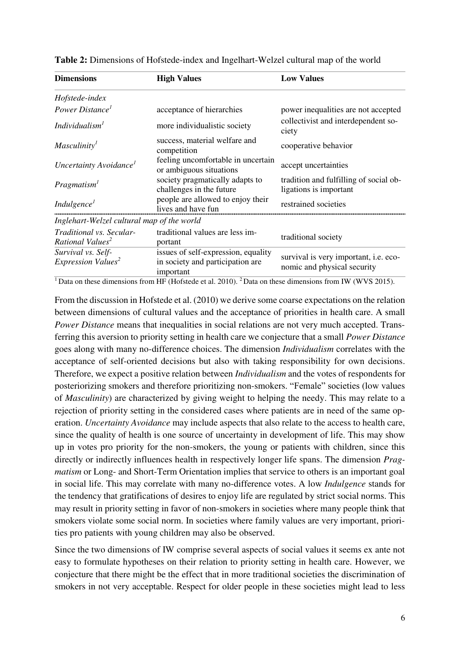| <b>Dimensions</b>                                                                                      | <b>High Values</b>                                                                                                              | <b>Low Values</b>                                                    |  |  |
|--------------------------------------------------------------------------------------------------------|---------------------------------------------------------------------------------------------------------------------------------|----------------------------------------------------------------------|--|--|
| Hofstede-index                                                                                         |                                                                                                                                 |                                                                      |  |  |
| Power Distance <sup>1</sup>                                                                            | acceptance of hierarchies                                                                                                       | power inequalities are not accepted                                  |  |  |
| Individualism <sup>1</sup><br>more individualistic society                                             |                                                                                                                                 | collectivist and interdependent so-<br>ciety                         |  |  |
| success, material welfare and<br>Masculinity <sup>1</sup><br>competition                               |                                                                                                                                 | cooperative behavior                                                 |  |  |
| Uncertainty Avoidance <sup>1</sup>                                                                     | feeling uncomfortable in uncertain<br>or ambiguous situations                                                                   | accept uncertainties                                                 |  |  |
| Pragmatism <sup>1</sup>                                                                                | society pragmatically adapts to<br>challenges in the future                                                                     | tradition and fulfilling of social ob-<br>ligations is important     |  |  |
| people are allowed to enjoy their<br>Indulgence <sup>1</sup><br>lives and have fun                     |                                                                                                                                 | restrained societies                                                 |  |  |
| Inglehart-Welzel cultural map of the world                                                             |                                                                                                                                 |                                                                      |  |  |
| Traditional vs. Secular-<br>traditional values are less im-<br>Rational Values <sup>2</sup><br>portant |                                                                                                                                 | traditional society                                                  |  |  |
| Survival vs. Self-<br>Expression Values <sup>2</sup>                                                   | issues of self-expression, equality<br>in society and participation are<br>important                                            | survival is very important, i.e. eco-<br>nomic and physical security |  |  |
|                                                                                                        | <sup>1</sup> Data on these dimensions from HF (Hofstede et al. 2010). <sup>2</sup> Data on these dimensions from IW (WVS 2015). |                                                                      |  |  |

**Table 2:** Dimensions of Hofstede-index and Ingelhart-Welzel cultural map of the world

From the discussion in Hofstede et al. (2010) we derive some coarse expectations on the relation between dimensions of cultural values and the acceptance of priorities in health care. A small *Power Distance* means that inequalities in social relations are not very much accepted. Transferring this aversion to priority setting in health care we conjecture that a small *Power Distance* goes along with many no-difference choices. The dimension *Individualism* correlates with the acceptance of self-oriented decisions but also with taking responsibility for own decisions. Therefore, we expect a positive relation between *Individualism* and the votes of respondents for posteriorizing smokers and therefore prioritizing non-smokers. "Female" societies (low values of *Masculinity*) are characterized by giving weight to helping the needy. This may relate to a rejection of priority setting in the considered cases where patients are in need of the same operation. *Uncertainty Avoidance* may include aspects that also relate to the access to health care, since the quality of health is one source of uncertainty in development of life. This may show up in votes pro priority for the non-smokers, the young or patients with children, since this directly or indirectly influences health in respectively longer life spans. The dimension *Pragmatism* or Long- and Short-Term Orientation implies that service to others is an important goal in social life. This may correlate with many no-difference votes. A low *Indulgence* stands for the tendency that gratifications of desires to enjoy life are regulated by strict social norms. This may result in priority setting in favor of non-smokers in societies where many people think that smokers violate some social norm. In societies where family values are very important, priorities pro patients with young children may also be observed.

Since the two dimensions of IW comprise several aspects of social values it seems ex ante not easy to formulate hypotheses on their relation to priority setting in health care. However, we conjecture that there might be the effect that in more traditional societies the discrimination of smokers in not very acceptable. Respect for older people in these societies might lead to less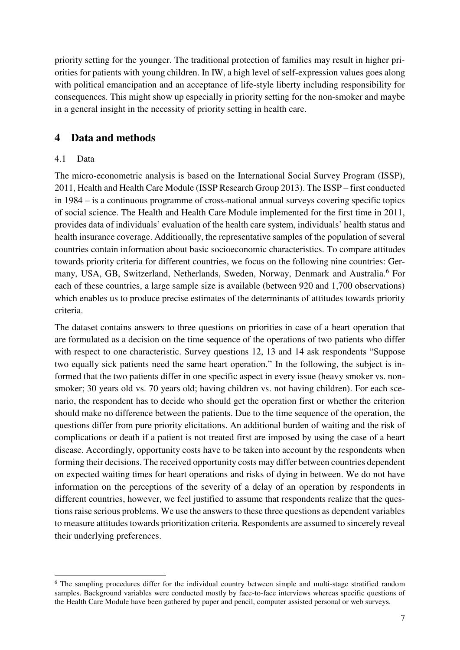priority setting for the younger. The traditional protection of families may result in higher priorities for patients with young children. In IW, a high level of self-expression values goes along with political emancipation and an acceptance of life-style liberty including responsibility for consequences. This might show up especially in priority setting for the non-smoker and maybe in a general insight in the necessity of priority setting in health care.

# **4 Data and methods**

## 4.1 Data

The micro-econometric analysis is based on the International Social Survey Program (ISSP), 2011, Health and Health Care Module (ISSP Research Group 2013). The ISSP – first conducted in 1984 – is a continuous programme of cross-national annual surveys covering specific topics of social science. The Health and Health Care Module implemented for the first time in 2011, provides data of individuals' evaluation of the health care system, individuals' health status and health insurance coverage. Additionally, the representative samples of the population of several countries contain information about basic socioeconomic characteristics. To compare attitudes towards priority criteria for different countries, we focus on the following nine countries: Germany, USA, GB, Switzerland, Netherlands, Sweden, Norway, Denmark and Australia.<sup>6</sup> For each of these countries, a large sample size is available (between 920 and 1,700 observations) which enables us to produce precise estimates of the determinants of attitudes towards priority criteria.

The dataset contains answers to three questions on priorities in case of a heart operation that are formulated as a decision on the time sequence of the operations of two patients who differ with respect to one characteristic. Survey questions 12, 13 and 14 ask respondents "Suppose two equally sick patients need the same heart operation." In the following, the subject is informed that the two patients differ in one specific aspect in every issue (heavy smoker vs. nonsmoker; 30 years old vs. 70 years old; having children vs. not having children). For each scenario, the respondent has to decide who should get the operation first or whether the criterion should make no difference between the patients. Due to the time sequence of the operation, the questions differ from pure priority elicitations. An additional burden of waiting and the risk of complications or death if a patient is not treated first are imposed by using the case of a heart disease. Accordingly, opportunity costs have to be taken into account by the respondents when forming their decisions. The received opportunity costs may differ between countries dependent on expected waiting times for heart operations and risks of dying in between. We do not have information on the perceptions of the severity of a delay of an operation by respondents in different countries, however, we feel justified to assume that respondents realize that the questions raise serious problems. We use the answers to these three questions as dependent variables to measure attitudes towards prioritization criteria. Respondents are assumed to sincerely reveal their underlying preferences.

<sup>-</sup><sup>6</sup> The sampling procedures differ for the individual country between simple and multi-stage stratified random samples. Background variables were conducted mostly by face-to-face interviews whereas specific questions of the Health Care Module have been gathered by paper and pencil, computer assisted personal or web surveys.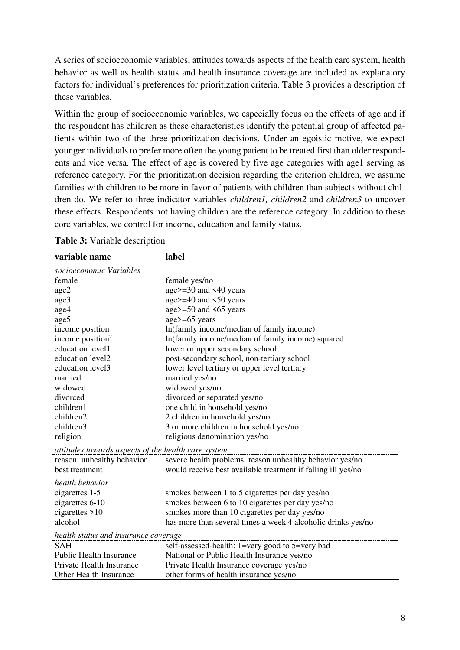A series of socioeconomic variables, attitudes towards aspects of the health care system, health behavior as well as health status and health insurance coverage are included as explanatory factors for individual's preferences for prioritization criteria. Table 3 provides a description of these variables.

Within the group of socioeconomic variables, we especially focus on the effects of age and if the respondent has children as these characteristics identify the potential group of affected patients within two of the three prioritization decisions. Under an egoistic motive, we expect younger individuals to prefer more often the young patient to be treated first than older respondents and vice versa. The effect of age is covered by five age categories with age1 serving as reference category. For the prioritization decision regarding the criterion children, we assume families with children to be more in favor of patients with children than subjects without children do. We refer to three indicator variables *children1, children2* and *children3* to uncover these effects. Respondents not having children are the reference category. In addition to these core variables, we control for income, education and family status.

| variable name                                       | label                                                        |
|-----------------------------------------------------|--------------------------------------------------------------|
| socioeconomic Variables                             |                                                              |
| female                                              | female yes/no                                                |
| age2                                                | age $>=$ 30 and $\leq 40$ years                              |
| age3                                                | age>=40 and <50 years                                        |
| age4                                                | age>=50 and $\leq$ 65 years                                  |
| age5                                                | $age \geq 65 \text{ years}$                                  |
| income position                                     | In(family income/median of family income)                    |
| income position <sup>2</sup>                        | In(family income/median of family income) squared            |
| education level1                                    | lower or upper secondary school                              |
| education level2                                    | post-secondary school, non-tertiary school                   |
| education level3                                    | lower level tertiary or upper level tertiary                 |
| married                                             | married yes/no                                               |
| widowed                                             | widowed yes/no                                               |
| divorced                                            | divorced or separated yes/no                                 |
| children1                                           | one child in household yes/no                                |
| children2                                           | 2 children in household yes/no                               |
| children3                                           | 3 or more children in household yes/no                       |
| religion                                            | religious denomination yes/no                                |
| attitudes towards aspects of the health care system |                                                              |
| reason: unhealthy behavior                          | severe health problems: reason unhealthy behavior yes/no     |
| best treatment                                      | would receive best available treatment if falling ill yes/no |
| health behavior                                     |                                                              |
| cigarettes 1-5                                      | smokes between 1 to 5 cigarettes per day yes/no              |
| cigarettes 6-10                                     | smokes between 6 to 10 cigarettes per day yes/no             |
| cigarettes $>10$                                    | smokes more than 10 cigarettes per day yes/no                |
| alcohol                                             | has more than several times a week 4 alcoholic drinks yes/no |
| health status and insurance coverage                |                                                              |
| <b>SAH</b>                                          | self-assessed-health: 1=very good to 5=very bad              |
| <b>Public Health Insurance</b>                      | National or Public Health Insurance yes/no                   |
| Private Health Insurance                            | Private Health Insurance coverage yes/no                     |
| <b>Other Health Insurance</b>                       | other forms of health insurance yes/no                       |

### **Table 3:** Variable description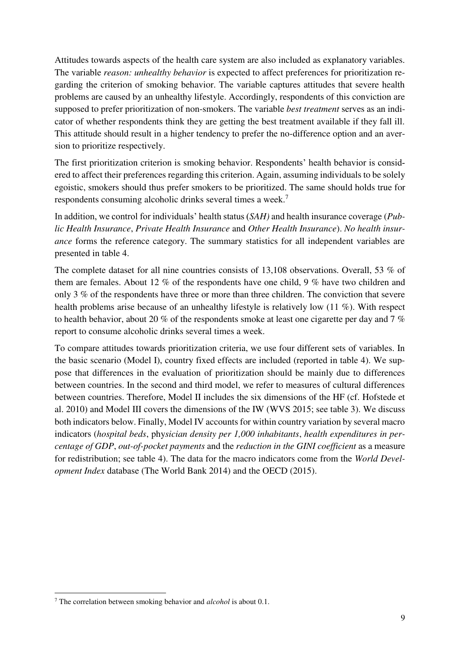Attitudes towards aspects of the health care system are also included as explanatory variables. The variable *reason: unhealthy behavior* is expected to affect preferences for prioritization regarding the criterion of smoking behavior. The variable captures attitudes that severe health problems are caused by an unhealthy lifestyle. Accordingly, respondents of this conviction are supposed to prefer prioritization of non-smokers. The variable *best treatment* serves as an indicator of whether respondents think they are getting the best treatment available if they fall ill. This attitude should result in a higher tendency to prefer the no-difference option and an aversion to prioritize respectively.

The first prioritization criterion is smoking behavior. Respondents' health behavior is considered to affect their preferences regarding this criterion. Again, assuming individuals to be solely egoistic, smokers should thus prefer smokers to be prioritized. The same should holds true for respondents consuming alcoholic drinks several times a week.<sup>7</sup>

In addition, we control for individuals' health status (*SAH)* and health insurance coverage (*Public Health Insurance*, *Private Health Insurance* and *Other Health Insurance*). *No health insurance* forms the reference category. The summary statistics for all independent variables are presented in table 4.

The complete dataset for all nine countries consists of 13,108 observations. Overall, 53 % of them are females. About 12 % of the respondents have one child, 9 % have two children and only 3 % of the respondents have three or more than three children. The conviction that severe health problems arise because of an unhealthy lifestyle is relatively low (11 %). With respect to health behavior, about 20 % of the respondents smoke at least one cigarette per day and 7 % report to consume alcoholic drinks several times a week.

To compare attitudes towards prioritization criteria, we use four different sets of variables. In the basic scenario (Model I), country fixed effects are included (reported in table 4). We suppose that differences in the evaluation of prioritization should be mainly due to differences between countries. In the second and third model, we refer to measures of cultural differences between countries. Therefore, Model II includes the six dimensions of the HF (cf. Hofstede et al. 2010) and Model III covers the dimensions of the IW (WVS 2015; see table 3). We discuss both indicators below. Finally, Model IV accounts for within country variation by several macro indicators (*hospital beds*, phy*sician density per 1,000 inhabitants*, *health expenditures in percentage of GDP*, *out-of-pocket payments* and the *reduction in the GINI coefficient* as a measure for redistribution; see table 4). The data for the macro indicators come from the *World Development Index* database (The World Bank 2014) and the OECD (2015).

-

<sup>7</sup> The correlation between smoking behavior and *alcohol* is about 0.1.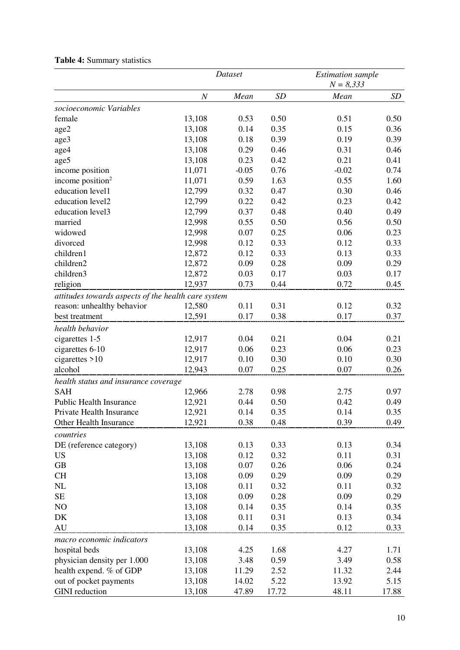|                                                     |                  | Dataset |           | <b>Estimation</b> sample |           |
|-----------------------------------------------------|------------------|---------|-----------|--------------------------|-----------|
|                                                     |                  |         |           | $N = 8,333$              |           |
|                                                     | $\boldsymbol{N}$ | Mean    | <b>SD</b> | Mean                     | <b>SD</b> |
| socioeconomic Variables                             |                  |         |           |                          |           |
| female                                              | 13,108           | 0.53    | 0.50      | 0.51                     | 0.50      |
| age2                                                | 13,108           | 0.14    | 0.35      | 0.15                     | 0.36      |
| age3                                                | 13,108           | 0.18    | 0.39      | 0.19                     | 0.39      |
| age4                                                | 13,108           | 0.29    | 0.46      | 0.31                     | 0.46      |
| age5                                                | 13,108           | 0.23    | 0.42      | 0.21                     | 0.41      |
| income position                                     | 11,071           | $-0.05$ | 0.76      | $-0.02$                  | 0.74      |
| income position <sup>2</sup>                        | 11,071           | 0.59    | 1.63      | 0.55                     | 1.60      |
| education level1                                    | 12,799           | 0.32    | 0.47      | 0.30                     | 0.46      |
| education level2                                    | 12,799           | 0.22    | 0.42      | 0.23                     | 0.42      |
| education level3                                    | 12,799           | 0.37    | 0.48      | 0.40                     | 0.49      |
| married                                             | 12,998           | 0.55    | 0.50      | 0.56                     | 0.50      |
| widowed                                             | 12,998           | 0.07    | 0.25      | 0.06                     | 0.23      |
| divorced                                            | 12,998           | 0.12    | 0.33      | 0.12                     | 0.33      |
| children1                                           | 12,872           | 0.12    | 0.33      | 0.13                     | 0.33      |
| children2                                           | 12,872           | 0.09    | 0.28      | 0.09                     | 0.29      |
| children3                                           | 12,872           | 0.03    | 0.17      | 0.03                     | 0.17      |
| religion                                            | 12,937           | 0.73    | 0.44      | 0.72                     | 0.45      |
| attitudes towards aspects of the health care system |                  |         |           |                          |           |
| reason: unhealthy behavior                          | 12,580           | 0.11    | 0.31      | 0.12                     | 0.32      |
| best treatment                                      | 12,591           | 0.17    | 0.38      | 0.17                     | 0.37      |
| health behavior                                     |                  |         |           |                          |           |
| cigarettes 1-5                                      | 12,917           | 0.04    | 0.21      | 0.04                     | 0.21      |
| cigarettes 6-10                                     | 12,917           | 0.06    | 0.23      | 0.06                     | 0.23      |
| cigarettes $>10$                                    | 12,917           | 0.10    | 0.30      | 0.10                     | 0.30      |
| alcohol                                             | 12,943           | 0.07    | 0.25      | 0.07                     | 0.26      |
| health status and insurance coverage                |                  |         |           |                          |           |
| <b>SAH</b>                                          | 12,966           | 2.78    | 0.98      | 2.75                     | 0.97      |
| <b>Public Health Insurance</b>                      | 12,921           | 0.44    | 0.50      | 0.42                     | 0.49      |
| Private Health Insurance                            | 12,921           | 0.14    | 0.35      | 0.14                     | 0.35      |
| Other Health Insurance                              | 12,921           | 0.38    | 0.48      | 0.39                     | 0.49      |
|                                                     |                  |         |           |                          |           |
| countries                                           |                  |         |           |                          |           |
| DE (reference category)                             | 13,108           | 0.13    | 0.33      | 0.13                     | 0.34      |
| <b>US</b>                                           | 13,108           | 0.12    | 0.32      | 0.11                     | 0.31      |
| GB                                                  | 13,108           | 0.07    | 0.26      | 0.06                     | 0.24      |
| <b>CH</b>                                           | 13,108           | 0.09    | 0.29      | 0.09                     | 0.29      |
| NL                                                  | 13,108           | 0.11    | 0.32      | 0.11                     | 0.32      |
| $\rm SE$                                            | 13,108           | 0.09    | 0.28      | 0.09                     | 0.29      |
| N <sub>O</sub>                                      | 13,108           | 0.14    | 0.35      | 0.14                     | 0.35      |
| DK                                                  | 13,108           | 0.11    | 0.31      | 0.13                     | 0.34      |
| AU                                                  | 13,108           | 0.14    | 0.35      | 0.12                     | 0.33      |
| macro economic indicators                           |                  |         |           |                          |           |
| hospital beds                                       | 13,108           | 4.25    | 1.68      | 4.27                     | 1.71      |
| physician density per 1.000                         | 13,108           | 3.48    | 0.59      | 3.49                     | 0.58      |
| health expend. % of GDP                             | 13,108           | 11.29   | 2.52      | 11.32                    | 2.44      |
| out of pocket payments                              | 13,108           | 14.02   | 5.22      | 13.92                    | 5.15      |
| <b>GINI</b> reduction                               | 13,108           | 47.89   | 17.72     | 48.11                    | 17.88     |

# **Table 4:** Summary statistics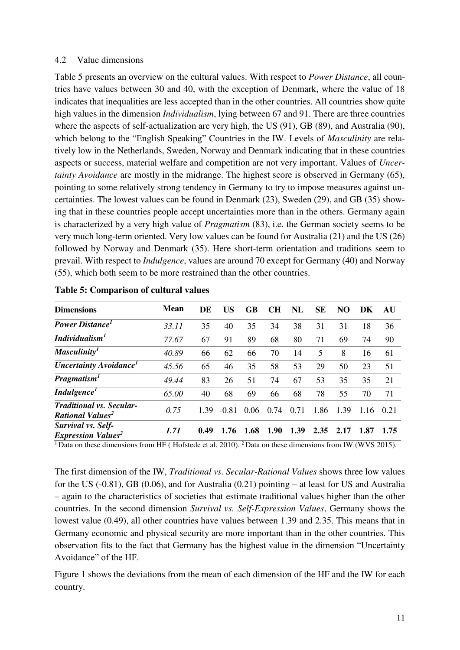#### 4.2 Value dimensions

Table 5 presents an overview on the cultural values. With respect to *Power Distance*, all countries have values between 30 and 40, with the exception of Denmark, where the value of 18 indicates that inequalities are less accepted than in the other countries. All countries show quite high values in the dimension *Individualism*, lying between 67 and 91. There are three countries where the aspects of self-actualization are very high, the US (91), GB (89), and Australia (90), which belong to the "English Speaking" Countries in the IW. Levels of *Masculinity* are relatively low in the Netherlands, Sweden, Norway and Denmark indicating that in these countries aspects or success, material welfare and competition are not very important. Values of *Uncertainty Avoidance* are mostly in the midrange. The highest score is observed in Germany (65), pointing to some relatively strong tendency in Germany to try to impose measures against uncertainties. The lowest values can be found in Denmark (23), Sweden (29), and GB (35) showing that in these countries people accept uncertainties more than in the others. Germany again is characterized by a very high value of *Pragmatism* (83), i.e. the German society seems to be very much long-term oriented. Very low values can be found for Australia (21) and the US (26) followed by Norway and Denmark (35). Here short-term orientation and traditions seem to prevail. With respect to *Indulgence*, values are around 70 except for Germany (40) and Norway (55), which both seem to be more restrained than the other countries.

| <b>Dimensions</b>                                                     | <b>Mean</b> | DE   | US      | GB   | CН   | NL   | SE   | NO   | DK   | AU    |
|-----------------------------------------------------------------------|-------------|------|---------|------|------|------|------|------|------|-------|
| <b>Power Distance</b>                                                 | 33.11       | 35   | 40      | 35   | 34   | 38   | 31   | 31   | 18   | 36    |
| Individualism <sup>1</sup>                                            | 77.67       | 67   | 91      | 89   | 68   | 80   | 71   | 69   | 74   | 90    |
| Masculinity <sup>1</sup>                                              | 40.89       | 66   | 62      | 66   | 70   | 14   | 5    | 8    | 16   | 61    |
| <b>Uncertainty Avoidance</b> <sup>1</sup>                             | 45.56       | 65   | 46      | 35   | 58   | 53   | 29   | 50   | 23   | 51    |
| Pragmatism <sup>1</sup>                                               | 49.44       | 83   | 26      | 51   | 74   | 67   | 53   | 35   | 35   | 21    |
| Indulgence <sup>1</sup>                                               | 65.00       | 40   | 68      | 69   | 66   | 68   | 78   | 55   | 70   | 71    |
| <b>Traditional vs. Secular-</b><br><b>Rational Values<sup>2</sup></b> | 0.75        | 139  | $-0.81$ | 0.06 | 0.74 | 0.71 | 1.86 | 1.39 | 1.16 | (121) |
| Survival vs. Self-<br><b>Expression Values<sup>2</sup></b>            | 1.71        | 0.49 | 1.76    | 1.68 | 1.90 | 1.39 | 2.35 | 2.17 | 1.87 | 1.75  |

|  |  | <b>Table 5: Comparison of cultural values</b> |  |  |
|--|--|-----------------------------------------------|--|--|
|--|--|-----------------------------------------------|--|--|

 $\overline{1}$ Data on these dimensions from HF (Hofstede et al. 2010). <sup>2</sup>Data on these dimensions from IW (WVS 2015).

The first dimension of the IW, *Traditional vs. Secular-Rational Values* shows three low values for the US (-0.81), GB (0.06), and for Australia (0.21) pointing – at least for US and Australia – again to the characteristics of societies that estimate traditional values higher than the other countries. In the second dimension *Survival vs. Self-Expression Values*, Germany shows the lowest value (0.49), all other countries have values between 1.39 and 2.35. This means that in Germany economic and physical security are more important than in the other countries. This observation fits to the fact that Germany has the highest value in the dimension "Uncertainty Avoidance" of the HF.

Figure 1 shows the deviations from the mean of each dimension of the HF and the IW for each country.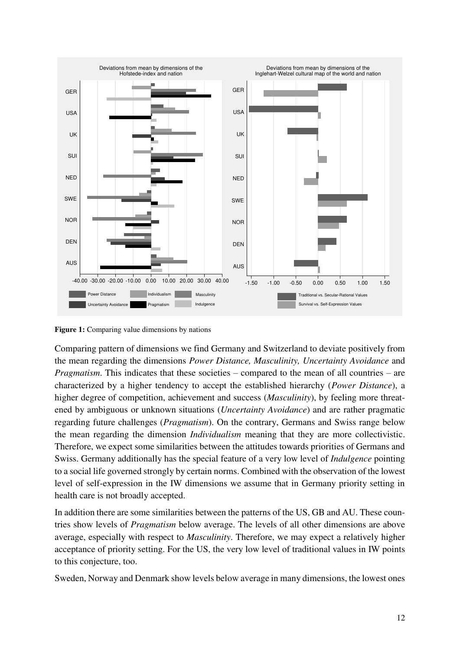

**Figure 1:** Comparing value dimensions by nations

Comparing pattern of dimensions we find Germany and Switzerland to deviate positively from the mean regarding the dimensions *Power Distance, Masculinity, Uncertainty Avoidance* and *Pragmatism.* This indicates that these societies – compared to the mean of all countries – are characterized by a higher tendency to accept the established hierarchy (*Power Distance*), a higher degree of competition, achievement and success (*Masculinity*), by feeling more threatened by ambiguous or unknown situations (*Uncertainty Avoidance*) and are rather pragmatic regarding future challenges (*Pragmatism*). On the contrary, Germans and Swiss range below the mean regarding the dimension *Individualism* meaning that they are more collectivistic. Therefore, we expect some similarities between the attitudes towards priorities of Germans and Swiss. Germany additionally has the special feature of a very low level of *Indulgence* pointing to a social life governed strongly by certain norms. Combined with the observation of the lowest level of self-expression in the IW dimensions we assume that in Germany priority setting in health care is not broadly accepted.

In addition there are some similarities between the patterns of the US, GB and AU. These countries show levels of *Pragmatism* below average. The levels of all other dimensions are above average, especially with respect to *Masculinity*. Therefore, we may expect a relatively higher acceptance of priority setting. For the US, the very low level of traditional values in IW points to this conjecture, too.

Sweden, Norway and Denmark show levels below average in many dimensions, the lowest ones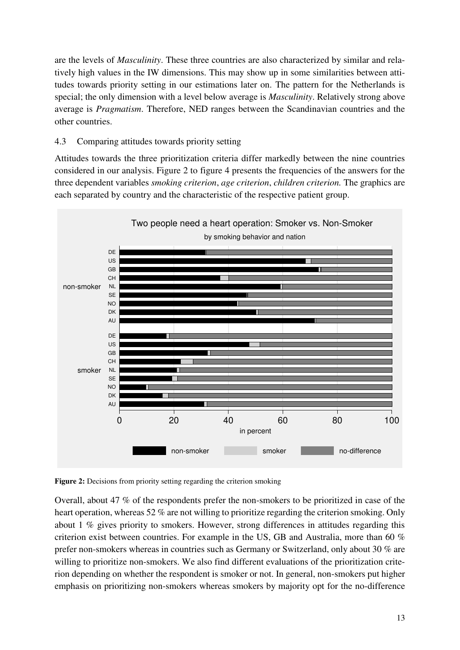are the levels of *Masculinity*. These three countries are also characterized by similar and relatively high values in the IW dimensions. This may show up in some similarities between attitudes towards priority setting in our estimations later on. The pattern for the Netherlands is special; the only dimension with a level below average is *Masculinity*. Relatively strong above average is *Pragmatism*. Therefore, NED ranges between the Scandinavian countries and the other countries.

# 4.3 Comparing attitudes towards priority setting

Attitudes towards the three prioritization criteria differ markedly between the nine countries considered in our analysis. Figure 2 to figure 4 presents the frequencies of the answers for the three dependent variables *smoking criterion*, *age criterion*, *children criterion.* The graphics are each separated by country and the characteristic of the respective patient group.



**Figure 2:** Decisions from priority setting regarding the criterion smoking

Overall, about 47 % of the respondents prefer the non-smokers to be prioritized in case of the heart operation, whereas 52 % are not willing to prioritize regarding the criterion smoking. Only about 1 % gives priority to smokers. However, strong differences in attitudes regarding this criterion exist between countries. For example in the US, GB and Australia, more than 60 % prefer non-smokers whereas in countries such as Germany or Switzerland, only about 30 % are willing to prioritize non-smokers. We also find different evaluations of the prioritization criterion depending on whether the respondent is smoker or not. In general, non-smokers put higher emphasis on prioritizing non-smokers whereas smokers by majority opt for the no-difference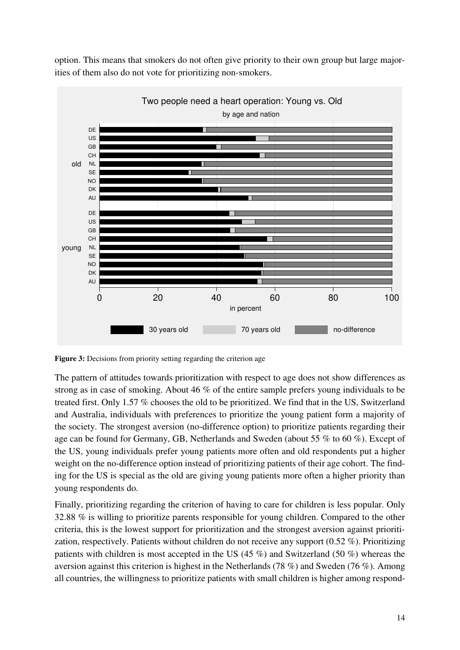

option. This means that smokers do not often give priority to their own group but large majorities of them also do not vote for prioritizing non-smokers.

Figure 3: Decisions from priority setting regarding the criterion age

The pattern of attitudes towards prioritization with respect to age does not show differences as strong as in case of smoking. About 46 % of the entire sample prefers young individuals to be treated first. Only 1.57 % chooses the old to be prioritized. We find that in the US, Switzerland and Australia, individuals with preferences to prioritize the young patient form a majority of the society. The strongest aversion (no-difference option) to prioritize patients regarding their age can be found for Germany, GB, Netherlands and Sweden (about 55 % to 60 %). Except of the US, young individuals prefer young patients more often and old respondents put a higher weight on the no-difference option instead of prioritizing patients of their age cohort. The finding for the US is special as the old are giving young patients more often a higher priority than young respondents do.

Finally, prioritizing regarding the criterion of having to care for children is less popular. Only 32.88 % is willing to prioritize parents responsible for young children. Compared to the other criteria, this is the lowest support for prioritization and the strongest aversion against prioritization, respectively. Patients without children do not receive any support (0.52 %). Prioritizing patients with children is most accepted in the US (45 %) and Switzerland (50 %) whereas the aversion against this criterion is highest in the Netherlands (78 %) and Sweden (76 %). Among all countries, the willingness to prioritize patients with small children is higher among respond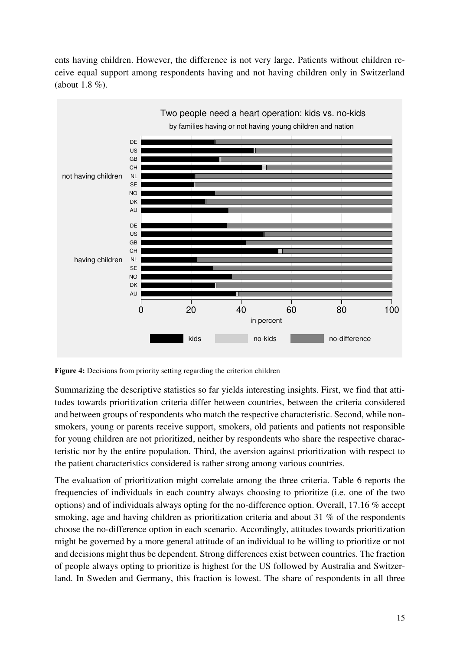ents having children. However, the difference is not very large. Patients without children receive equal support among respondents having and not having children only in Switzerland (about 1.8 %).



**Figure 4:** Decisions from priority setting regarding the criterion children

Summarizing the descriptive statistics so far yields interesting insights. First, we find that attitudes towards prioritization criteria differ between countries, between the criteria considered and between groups of respondents who match the respective characteristic. Second, while nonsmokers, young or parents receive support, smokers, old patients and patients not responsible for young children are not prioritized, neither by respondents who share the respective characteristic nor by the entire population. Third, the aversion against prioritization with respect to the patient characteristics considered is rather strong among various countries.

The evaluation of prioritization might correlate among the three criteria. Table 6 reports the frequencies of individuals in each country always choosing to prioritize (i.e. one of the two options) and of individuals always opting for the no-difference option. Overall, 17.16 % accept smoking, age and having children as prioritization criteria and about 31 % of the respondents choose the no-difference option in each scenario. Accordingly, attitudes towards prioritization might be governed by a more general attitude of an individual to be willing to prioritize or not and decisions might thus be dependent. Strong differences exist between countries. The fraction of people always opting to prioritize is highest for the US followed by Australia and Switzerland. In Sweden and Germany, this fraction is lowest. The share of respondents in all three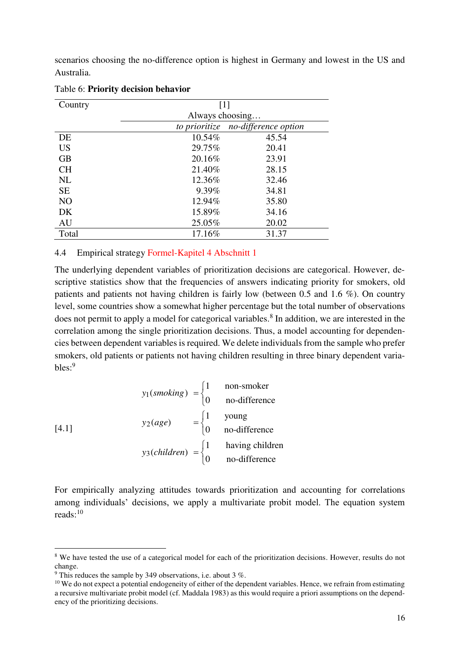scenarios choosing the no-difference option is highest in Germany and lowest in the US and Australia.

| Country        | [1]             |                                    |  |  |  |  |
|----------------|-----------------|------------------------------------|--|--|--|--|
|                | Always choosing |                                    |  |  |  |  |
|                |                 | to prioritize no-difference option |  |  |  |  |
| DE             | 10.54%          | 45.54                              |  |  |  |  |
| <b>US</b>      | 29.75%          | 20.41                              |  |  |  |  |
| <b>GB</b>      | 20.16%          | 23.91                              |  |  |  |  |
| <b>CH</b>      | 21.40%          | 28.15                              |  |  |  |  |
| <b>NL</b>      | 12.36%          | 32.46                              |  |  |  |  |
| <b>SE</b>      | 9.39%           | 34.81                              |  |  |  |  |
| N <sub>O</sub> | 12.94%          | 35.80                              |  |  |  |  |
| DK             | 15.89%          | 34.16                              |  |  |  |  |
| AU             | 25.05%          | 20.02                              |  |  |  |  |
| Total          | 17.16%          | 31.37                              |  |  |  |  |

#### Table 6: **Priority decision behavior**

### 4.4 Empirical strategy Formel-Kapitel 4 Abschnitt 1

The underlying dependent variables of prioritization decisions are categorical. However, descriptive statistics show that the frequencies of answers indicating priority for smokers, old patients and patients not having children is fairly low (between 0.5 and 1.6 %). On country level, some countries show a somewhat higher percentage but the total number of observations does not permit to apply a model for categorical variables.<sup>8</sup> In addition, we are interested in the correlation among the single prioritization decisions. Thus, a model accounting for dependencies between dependent variables is required. We delete individuals from the sample who prefer smokers, old patients or patients not having children resulting in three binary dependent variables:<sup>9</sup>

$$
y_1(smoking) = \begin{cases} 1 & \text{non-smoker} \\ 0 & \text{no-difference} \end{cases}
$$
  
[4.1]  

$$
y_2(age) = \begin{cases} 1 & \text{young} \\ 0 & \text{no-difference} \end{cases}
$$
  

$$
y_3(children) = \begin{cases} 1 & \text{having children} \\ 0 & \text{no-difference} \end{cases}
$$

For empirically analyzing attitudes towards prioritization and accounting for correlations among individuals' decisions, we apply a multivariate probit model. The equation system reads: $^{10}$ 

-

<sup>&</sup>lt;sup>8</sup> We have tested the use of a categorical model for each of the prioritization decisions. However, results do not change.

<sup>&</sup>lt;sup>9</sup> This reduces the sample by 349 observations, i.e. about 3 %.

<sup>&</sup>lt;sup>10</sup> We do not expect a potential endogeneity of either of the dependent variables. Hence, we refrain from estimating a recursive multivariate probit model (cf. Maddala 1983) as this would require a priori assumptions on the dependency of the prioritizing decisions.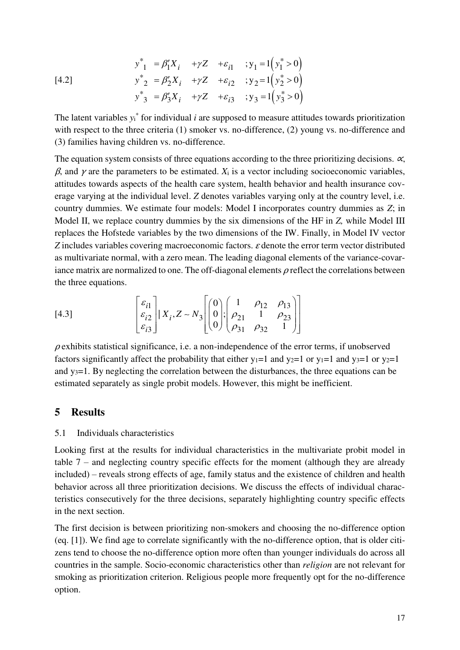$$
y_{1}^{*} = \beta_{1}^{\prime} X_{i} + \gamma Z + \varepsilon_{i1} ; y_{1} = 1 (y_{1}^{*} > 0)
$$
  
\n[4.2]  
\n
$$
y_{2}^{*} = \beta_{2}^{\prime} X_{i} + \gamma Z + \varepsilon_{i2} ; y_{2} = 1 (y_{2}^{*} > 0)
$$
  
\n
$$
y_{3}^{*} = \beta_{3}^{\prime} X_{i} + \gamma Z + \varepsilon_{i3} ; y_{3} = 1 (y_{3}^{*} > 0)
$$

The latent variables  $y_i^*$  for individual *i* are supposed to measure attitudes towards prioritization with respect to the three criteria (1) smoker vs. no-difference, (2) young vs. no-difference and (3) families having children vs. no-difference.

The equation system consists of three equations according to the three prioritizing decisions.  $\alpha$ ,  $β$ , and  $γ$  are the parameters to be estimated.  $X_i$  is a vector including socioeconomic variables, attitudes towards aspects of the health care system, health behavior and health insurance coverage varying at the individual level. *Z* denotes variables varying only at the country level, i.e. country dummies. We estimate four models: Model I incorporates country dummies as *Z*; in Model II, we replace country dummies by the six dimensions of the HF in *Z,* while Model III replaces the Hofstede variables by the two dimensions of the IW. Finally, in Model IV vector *Z* includes variables covering macroeconomic factors. ε denote the error term vector distributed as multivariate normal, with a zero mean. The leading diagonal elements of the variance-covariance matrix are normalized to one. The off-diagonal elements  $\rho$  reflect the correlations between the three equations.

[4.3] 
$$
\begin{bmatrix} \varepsilon_{i1} \\ \varepsilon_{i2} \\ \varepsilon_{i3} \end{bmatrix} | X_i, Z \sim N_3 \begin{bmatrix} 0 \\ 0 \\ 0 \end{bmatrix}; \begin{bmatrix} 1 & \rho_{12} & \rho_{13} \\ \rho_{21} & 1 & \rho_{23} \\ \rho_{31} & \rho_{32} & 1 \end{bmatrix}
$$

 $\rho$  exhibits statistical significance, i.e. a non-independence of the error terms, if unobserved factors significantly affect the probability that either  $y_1=1$  and  $y_2=1$  or  $y_1=1$  and  $y_3=1$  or  $y_2=1$ and y3=1. By neglecting the correlation between the disturbances, the three equations can be estimated separately as single probit models. However, this might be inefficient.

## **5 Results**

#### 5.1 Individuals characteristics

Looking first at the results for individual characteristics in the multivariate probit model in table 7 – and neglecting country specific effects for the moment (although they are already included) – reveals strong effects of age, family status and the existence of children and health behavior across all three prioritization decisions. We discuss the effects of individual characteristics consecutively for the three decisions, separately highlighting country specific effects in the next section.

The first decision is between prioritizing non-smokers and choosing the no-difference option (eq. [1]). We find age to correlate significantly with the no-difference option, that is older citizens tend to choose the no-difference option more often than younger individuals do across all countries in the sample. Socio-economic characteristics other than *religion* are not relevant for smoking as prioritization criterion. Religious people more frequently opt for the no-difference option.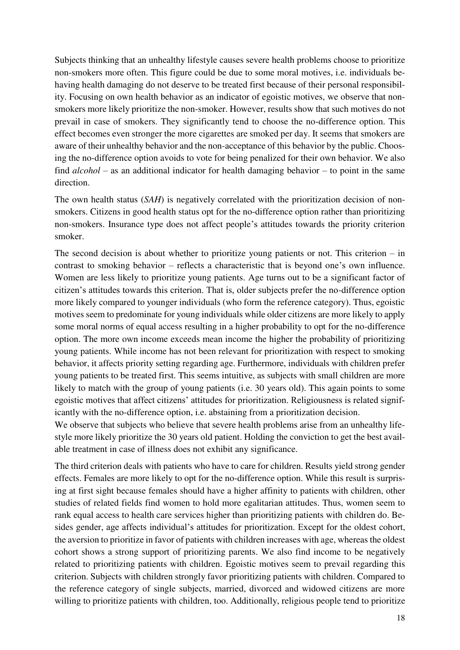Subjects thinking that an unhealthy lifestyle causes severe health problems choose to prioritize non-smokers more often. This figure could be due to some moral motives, i.e. individuals behaving health damaging do not deserve to be treated first because of their personal responsibility. Focusing on own health behavior as an indicator of egoistic motives, we observe that nonsmokers more likely prioritize the non-smoker. However, results show that such motives do not prevail in case of smokers. They significantly tend to choose the no-difference option. This effect becomes even stronger the more cigarettes are smoked per day. It seems that smokers are aware of their unhealthy behavior and the non-acceptance of this behavior by the public. Choosing the no-difference option avoids to vote for being penalized for their own behavior. We also find *alcohol* – as an additional indicator for health damaging behavior – to point in the same direction.

The own health status (*SAH*) is negatively correlated with the prioritization decision of nonsmokers. Citizens in good health status opt for the no-difference option rather than prioritizing non-smokers. Insurance type does not affect people's attitudes towards the priority criterion smoker.

The second decision is about whether to prioritize young patients or not. This criterion – in contrast to smoking behavior – reflects a characteristic that is beyond one's own influence. Women are less likely to prioritize young patients. Age turns out to be a significant factor of citizen's attitudes towards this criterion. That is, older subjects prefer the no-difference option more likely compared to younger individuals (who form the reference category). Thus, egoistic motives seem to predominate for young individuals while older citizens are more likely to apply some moral norms of equal access resulting in a higher probability to opt for the no-difference option. The more own income exceeds mean income the higher the probability of prioritizing young patients. While income has not been relevant for prioritization with respect to smoking behavior, it affects priority setting regarding age. Furthermore, individuals with children prefer young patients to be treated first. This seems intuitive, as subjects with small children are more likely to match with the group of young patients (i.e. 30 years old). This again points to some egoistic motives that affect citizens' attitudes for prioritization. Religiousness is related significantly with the no-difference option, i.e. abstaining from a prioritization decision.

We observe that subjects who believe that severe health problems arise from an unhealthy lifestyle more likely prioritize the 30 years old patient. Holding the conviction to get the best available treatment in case of illness does not exhibit any significance.

The third criterion deals with patients who have to care for children. Results yield strong gender effects. Females are more likely to opt for the no-difference option. While this result is surprising at first sight because females should have a higher affinity to patients with children, other studies of related fields find women to hold more egalitarian attitudes. Thus, women seem to rank equal access to health care services higher than prioritizing patients with children do. Besides gender, age affects individual's attitudes for prioritization. Except for the oldest cohort, the aversion to prioritize in favor of patients with children increases with age, whereas the oldest cohort shows a strong support of prioritizing parents. We also find income to be negatively related to prioritizing patients with children. Egoistic motives seem to prevail regarding this criterion. Subjects with children strongly favor prioritizing patients with children. Compared to the reference category of single subjects, married, divorced and widowed citizens are more willing to prioritize patients with children, too. Additionally, religious people tend to prioritize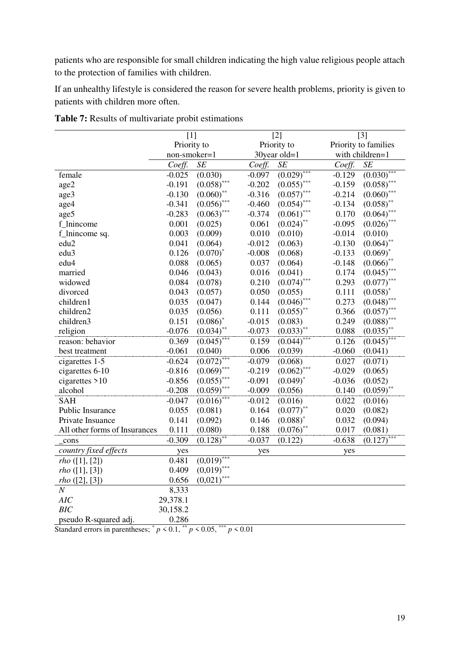patients who are responsible for small children indicating the high value religious people attach to the protection of families with children.

If an unhealthy lifestyle is considered the reason for severe health problems, priority is given to patients with children more often.

|                               | $[1]$        |                        |             | $[2]$         | $[3]$    |                      |  |
|-------------------------------|--------------|------------------------|-------------|---------------|----------|----------------------|--|
|                               | Priority to  |                        | Priority to |               |          | Priority to families |  |
|                               | non-smoker=1 |                        |             | 30year old=1  |          | with children=1      |  |
|                               | Coeff.       | SE                     | Coeff.      | SE            | Coeff.   | SE                   |  |
| female                        | $-0.025$     | (0.030)                | $-0.097$    | $(0.029)$ *** | $-0.129$ | $(0.030)^*$          |  |
| age2                          | $-0.191$     | $(0.058)$ ***          | $-0.202$    | $(0.055)$ *** | $-0.159$ | $(0.058)$ ***        |  |
| age3                          | $-0.130$     | $(0.060)$ **           | $-0.316$    | $(0.057)$ *** | $-0.214$ | $(0.060)$ ***        |  |
| age4                          | $-0.341$     | $(0.056)$ ***          | $-0.460$    | $(0.054)$ *** | $-0.134$ | $(0.058)$ **         |  |
| age5                          | $-0.283$     | $(0.063)$ ***          | $-0.374$    | $(0.061)$ *** | 0.170    | $(0.064)$ **         |  |
| f_lnincome                    | 0.001        | (0.025)                | 0.061       | $(0.024)$ **  | $-0.095$ | $(0.026)$ ***        |  |
| f_lnincome sq.                | 0.003        | (0.009)                | 0.010       | (0.010)       | $-0.014$ | (0.010)              |  |
| edu2                          | 0.041        | (0.064)                | $-0.012$    | (0.063)       | $-0.130$ | $(0.064)$ **         |  |
| edu <sub>3</sub>              | 0.126        | $(0.070)^*$            | $-0.008$    | (0.068)       | $-0.133$ | $(0.069)^*$          |  |
| edu4                          | 0.088        | (0.065)                | 0.037       | (0.064)       | $-0.148$ | $(0.066)$ **         |  |
| married                       | 0.046        | (0.043)                | 0.016       | (0.041)       | 0.174    | $(0.045)$ **         |  |
| widowed                       | 0.084        | (0.078)                | 0.210       | $(0.074)$ *** | 0.293    | $(0.077)$ **         |  |
| divorced                      | 0.043        | (0.057)                | 0.050       | (0.055)       | 0.111    | $(0.058)^*$          |  |
| children1                     | 0.035        | (0.047)                | 0.144       | $(0.046)$ *** | 0.273    | $(0.048)$ ***        |  |
| children2                     | 0.035        | (0.056)                | 0.111       | $(0.055)$ **  | 0.366    | $(0.057)$ ***        |  |
| children3                     | 0.151        | $(0.086)$ <sup>*</sup> | $-0.015$    | (0.083)       | 0.249    | $(0.088)$ ***        |  |
| religion                      | $-0.076$     | $(0.034)$ **           | $-0.073$    | $(0.033)$ **  | 0.088    | $(0.035)$ **         |  |
| reason: behavior              | 0.369        | $(0.045)^*$            | 0.159       | $(0.044)^*$   | 0.126    | $(0.045)^*$          |  |
| best treatment                | $-0.061$     | (0.040)                | 0.006       | (0.039)       | $-0.060$ | (0.041)              |  |
| cigarettes 1-5                | $-0.624$     | $(0.072)$ **           | $-0.079$    | (0.068)       | 0.027    | (0.071)              |  |
| cigarettes 6-10               | $-0.816$     | $(0.069)$ ***          | $-0.219$    | $(0.062)$ *** | $-0.029$ | (0.065)              |  |
| cigarettes $>10$              | $-0.856$     | $(0.055)$ ***          | $-0.091$    | $(0.049)^*$   | $-0.036$ | (0.052)              |  |
| alcohol                       | $-0.208$     | $(0.059)$ ***          | $-0.009$    | (0.056)       | 0.140    | $(0.059)$ **         |  |
| <b>SAH</b>                    | $-0.047$     | $(0.016)$ ***          | $-0.012$    | (0.016)       | 0.022    | (0.016)              |  |
| Public Insurance              | 0.055        | (0.081)                | 0.164       | $(0.077)$ **  | 0.020    | (0.082)              |  |
| Private Insuance              | 0.141        | (0.092)                | 0.146       | $(0.088)^*$   | 0.032    | (0.094)              |  |
| All other forms of Insurances | 0.111        | (0.080)                | 0.188       | $(0.076)$ **  | 0.017    | (0.081)              |  |
| cons                          | $-0.309$     | $(0.128)$ <sup>*</sup> | $-0.037$    | (0.122)       | $-0.638$ | (0.127)              |  |
| country fixed effects         | yes          |                        | yes         |               | yes      |                      |  |
| rho([1],[2])                  | 0.481        | $(0,019)$ ***          |             |               |          |                      |  |
| rho([1],[3])                  | 0.409        | $(0,019)$ ***          |             |               |          |                      |  |
| <i>rho</i> $([2], [3])$       | 0.656        | $(0,021)$ ***          |             |               |          |                      |  |
| $\cal N$                      | 8,333        |                        |             |               |          |                      |  |
| AIC                           | 29,378.1     |                        |             |               |          |                      |  |
| <b>BIC</b>                    | 30,158.2     |                        |             |               |          |                      |  |
| pseudo R-squared adj.         | 0.286        |                        |             |               |          |                      |  |
|                               |              |                        |             |               |          |                      |  |

**Table 7:** Results of multivariate probit estimations

Standard errors in parentheses;  $p < 0.1$ ,  $\binom{4}{3}$   $p < 0.05$ ,  $\binom{4}{3}$   $p < 0.01$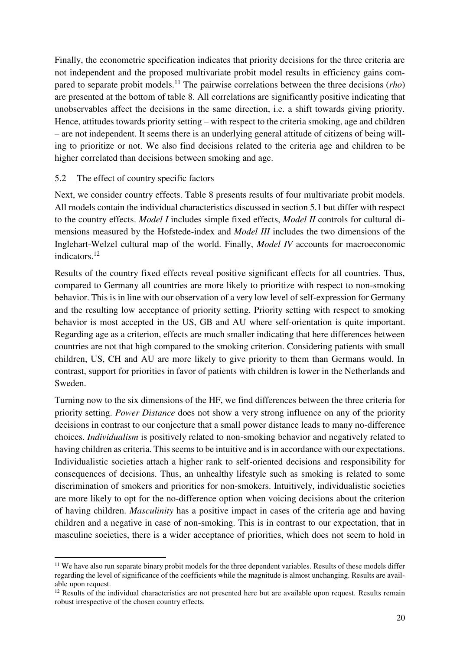Finally, the econometric specification indicates that priority decisions for the three criteria are not independent and the proposed multivariate probit model results in efficiency gains compared to separate probit models.<sup>11</sup> The pairwise correlations between the three decisions (*rho*) are presented at the bottom of table 8. All correlations are significantly positive indicating that unobservables affect the decisions in the same direction, i.e. a shift towards giving priority. Hence, attitudes towards priority setting – with respect to the criteria smoking, age and children – are not independent. It seems there is an underlying general attitude of citizens of being willing to prioritize or not. We also find decisions related to the criteria age and children to be higher correlated than decisions between smoking and age.

## 5.2 The effect of country specific factors

Next, we consider country effects. Table 8 presents results of four multivariate probit models. All models contain the individual characteristics discussed in section 5.1 but differ with respect to the country effects. *Model I* includes simple fixed effects, *Model II* controls for cultural dimensions measured by the Hofstede-index and *Model III* includes the two dimensions of the Inglehart-Welzel cultural map of the world. Finally, *Model IV* accounts for macroeconomic indicators.<sup>12</sup>

Results of the country fixed effects reveal positive significant effects for all countries. Thus, compared to Germany all countries are more likely to prioritize with respect to non-smoking behavior. This is in line with our observation of a very low level of self-expression for Germany and the resulting low acceptance of priority setting. Priority setting with respect to smoking behavior is most accepted in the US, GB and AU where self-orientation is quite important. Regarding age as a criterion, effects are much smaller indicating that here differences between countries are not that high compared to the smoking criterion. Considering patients with small children, US, CH and AU are more likely to give priority to them than Germans would. In contrast, support for priorities in favor of patients with children is lower in the Netherlands and Sweden.

Turning now to the six dimensions of the HF, we find differences between the three criteria for priority setting. *Power Distance* does not show a very strong influence on any of the priority decisions in contrast to our conjecture that a small power distance leads to many no-difference choices. *Individualism* is positively related to non-smoking behavior and negatively related to having children as criteria. This seems to be intuitive and is in accordance with our expectations. Individualistic societies attach a higher rank to self-oriented decisions and responsibility for consequences of decisions. Thus, an unhealthy lifestyle such as smoking is related to some discrimination of smokers and priorities for non-smokers. Intuitively, individualistic societies are more likely to opt for the no-difference option when voicing decisions about the criterion of having children. *Masculinity* has a positive impact in cases of the criteria age and having children and a negative in case of non-smoking. This is in contrast to our expectation, that in masculine societies, there is a wider acceptance of priorities, which does not seem to hold in

<sup>-</sup><sup>11</sup> We have also run separate binary probit models for the three dependent variables. Results of these models differ regarding the level of significance of the coefficients while the magnitude is almost unchanging. Results are available upon request.

<sup>&</sup>lt;sup>12</sup> Results of the individual characteristics are not presented here but are available upon request. Results remain robust irrespective of the chosen country effects.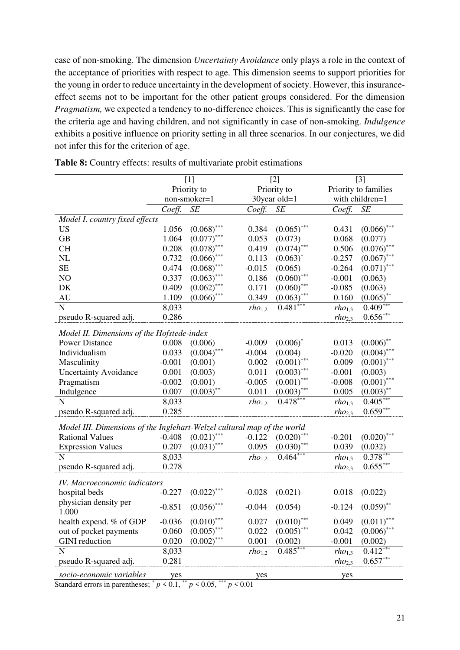case of non-smoking. The dimension *Uncertainty Avoidance* only plays a role in the context of the acceptance of priorities with respect to age. This dimension seems to support priorities for the young in order to reduce uncertainty in the development of society. However, this insuranceeffect seems not to be important for the other patient groups considered. For the dimension *Pragmatism,* we expected a tendency to no-difference choices. This is significantly the case for the criteria age and having children, and not significantly in case of non-smoking. *Indulgence* exhibits a positive influence on priority setting in all three scenarios. In our conjectures, we did not infer this for the criterion of age.

|                                                                         | $[1]$        |               | $[2]$       |               | $[3]$       |                      |  |
|-------------------------------------------------------------------------|--------------|---------------|-------------|---------------|-------------|----------------------|--|
|                                                                         | Priority to  |               |             | Priority to   |             | Priority to families |  |
|                                                                         | non-smoker=1 |               |             | 30year old=1  |             | with children=1      |  |
|                                                                         | Coeff.       | SE            | Coeff.      | SE            | Coeff.      | SE                   |  |
| Model I. country fixed effects                                          |              |               |             |               |             |                      |  |
| <b>US</b>                                                               | 1.056        | $(0.068)$ *** | 0.384       | $(0.065)$ *** | 0.431       | $(0.066)$ ***        |  |
| <b>GB</b>                                                               | 1.064        | $(0.077)$ *** | 0.053       | (0.073)       | 0.068       | (0.077)              |  |
| <b>CH</b>                                                               | 0.208        | (0.078)       | 0.419       | $(0.074)$ *** | 0.506       | $(0.076)$ ***        |  |
| <b>NL</b>                                                               | 0.732        | (0.066)       | 0.113       | $(0.063)^*$   | $-0.257$    | $(0.067)$ ***        |  |
| <b>SE</b>                                                               | 0.474        | $(0.068)$ *** | $-0.015$    | (0.065)       | $-0.264$    | $(0.071)$ ***        |  |
| NO                                                                      | 0.337        | $(0.063)$ *** | 0.186       | $(0.060)$ *** | $-0.001$    | (0.063)              |  |
| DK                                                                      | 0.409        | $(0.062)$ *** | 0.171       | $(0.060)$ *** | $-0.085$    | (0.063)              |  |
| AU                                                                      | 1.109        | $(0.066)$ *** | 0.349       | $(0.063)$ *** | 0.160       | $(0.065)$ **         |  |
| N                                                                       | 8,033        |               | $rho_{1,2}$ | $0.481***$    | $rho_{1,3}$ | $0.409***$           |  |
| pseudo R-squared adj.                                                   | 0.286        |               |             |               | $rho_{2,3}$ | $0.656***$           |  |
|                                                                         |              |               |             |               |             |                      |  |
| Model II. Dimensions of the Hofstede-index                              |              |               |             |               |             |                      |  |
| <b>Power Distance</b>                                                   | 0.008        | (0.006)       | $-0.009$    | $(0.006)^*$   | 0.013       | $(0.006)$ *          |  |
| Individualism                                                           | 0.033        | $(0.004)$ *** | $-0.004$    | (0.004)       | $-0.020$    | $(0.004)$ ***        |  |
| Masculinity                                                             | $-0.001$     | (0.001)       | 0.002       | $(0.001)$ *** | 0.009       | $(0.001)$ ***        |  |
| <b>Uncertainty Avoidance</b>                                            | 0.001        | (0.003)       | 0.011       | $(0.003)$ *** | $-0.001$    | (0.003)              |  |
| Pragmatism                                                              | $-0.002$     | (0.001)       | $-0.005$    | $(0.001)$ *** | $-0.008$    | $(0.001)$ ***        |  |
| Indulgence                                                              | 0.007        | $(0.003)$ **  | 0.011       | $(0.003)$ *** | 0.005       | $(0.003)$ **         |  |
| $\mathbf N$                                                             | 8,033        |               | $rho_{1,2}$ | $0.478***$    | $rho_{1,3}$ | $0.405***$           |  |
| pseudo R-squared adj.                                                   | 0.285        |               |             |               | $rho_{2,3}$ | $0.659***$           |  |
| Model III. Dimensions of the Inglehart-Welzel cultural map of the world |              |               |             |               |             |                      |  |
| <b>Rational Values</b>                                                  | $-0.408$     | $(0.021)$ *** | $-0.122$    | $(0.020)$ *** | $-0.201$    | $(0.020)$ ***        |  |
| <b>Expression Values</b>                                                | 0.207        | $(0.031)$ *** | 0.095       | $(0.030)$ *** | 0.039       | (0.032)              |  |
| $\overline{N}$                                                          | 8,033        |               | $rho_{1,2}$ | 0.464         | $rho_{1,3}$ | $0.378***$           |  |
| pseudo R-squared adj.                                                   | 0.278        |               |             |               | $rho_{2,3}$ | $0.655***$           |  |
|                                                                         |              |               |             |               |             |                      |  |
| IV. Macroeconomic indicators                                            |              |               |             |               |             |                      |  |
| hospital beds                                                           | $-0.227$     | $(0.022)$ *** | $-0.028$    | (0.021)       | 0.018       | (0.022)              |  |
| physician density per                                                   | $-0.851$     | $(0.056)$ *** | $-0.044$    | (0.054)       | $-0.124$    | $(0.059)$ **         |  |
| 1.000                                                                   |              |               |             |               |             |                      |  |
| health expend. % of GDP                                                 | $-0.036$     | $(0.010)$ *** | 0.027       | $(0.010)$ **  | 0.049       | $(0.011)$ **         |  |
| out of pocket payments                                                  | 0.060        | $(0.005)$ *** | 0.022       | $(0.005)$ *** | 0.042       | $(0.006)$ ***        |  |
| <b>GINI</b> reduction                                                   | 0.020        | $(0.002)$ *** | 0.001       | (0.002)       | $-0.001$    | (0.002)              |  |
| $\mathbf N$                                                             | 8,033        |               | $rho_{1,2}$ | $0.485***$    | $rho_{1,3}$ | $0.412***$           |  |
| pseudo R-squared adj.                                                   | 0.281        |               |             |               | $rho_{2,3}$ | $0.657***$           |  |
| socio-economic variables                                                | yes          |               | yes         |               | yes         |                      |  |

**Table 8:** Country effects: results of multivariate probit estimations

Standard errors in parentheses;  $p < 0.1$ ,  $p < 0.05$ ,  $p < 0.01$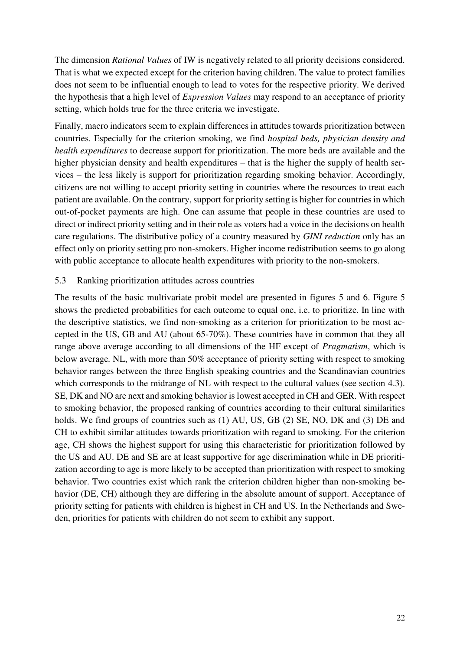The dimension *Rational Values* of IW is negatively related to all priority decisions considered. That is what we expected except for the criterion having children. The value to protect families does not seem to be influential enough to lead to votes for the respective priority. We derived the hypothesis that a high level of *Expression Values* may respond to an acceptance of priority setting, which holds true for the three criteria we investigate.

Finally, macro indicators seem to explain differences in attitudes towards prioritization between countries. Especially for the criterion smoking, we find *hospital beds, physician density and health expenditures* to decrease support for prioritization. The more beds are available and the higher physician density and health expenditures – that is the higher the supply of health services – the less likely is support for prioritization regarding smoking behavior. Accordingly, citizens are not willing to accept priority setting in countries where the resources to treat each patient are available. On the contrary, support for priority setting is higher for countries in which out-of-pocket payments are high. One can assume that people in these countries are used to direct or indirect priority setting and in their role as voters had a voice in the decisions on health care regulations. The distributive policy of a country measured by *GINI reduction* only has an effect only on priority setting pro non-smokers. Higher income redistribution seems to go along with public acceptance to allocate health expenditures with priority to the non-smokers.

## 5.3 Ranking prioritization attitudes across countries

The results of the basic multivariate probit model are presented in figures 5 and 6. Figure 5 shows the predicted probabilities for each outcome to equal one, i.e. to prioritize. In line with the descriptive statistics, we find non-smoking as a criterion for prioritization to be most accepted in the US, GB and AU (about 65-70%). These countries have in common that they all range above average according to all dimensions of the HF except of *Pragmatism*, which is below average*.* NL, with more than 50% acceptance of priority setting with respect to smoking behavior ranges between the three English speaking countries and the Scandinavian countries which corresponds to the midrange of NL with respect to the cultural values (see section 4.3). SE, DK and NO are next and smoking behavior is lowest accepted in CH and GER. With respect to smoking behavior, the proposed ranking of countries according to their cultural similarities holds. We find groups of countries such as (1) AU, US, GB (2) SE, NO, DK and (3) DE and CH to exhibit similar attitudes towards prioritization with regard to smoking. For the criterion age, CH shows the highest support for using this characteristic for prioritization followed by the US and AU. DE and SE are at least supportive for age discrimination while in DE prioritization according to age is more likely to be accepted than prioritization with respect to smoking behavior. Two countries exist which rank the criterion children higher than non-smoking behavior (DE, CH) although they are differing in the absolute amount of support. Acceptance of priority setting for patients with children is highest in CH and US. In the Netherlands and Sweden, priorities for patients with children do not seem to exhibit any support.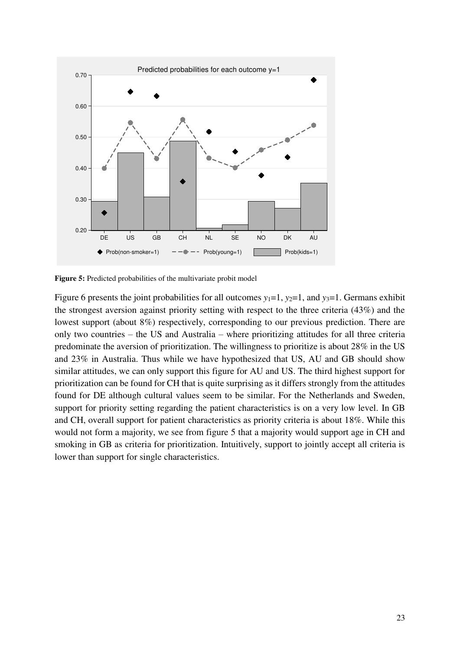

**Figure 5:** Predicted probabilities of the multivariate probit model

Figure 6 presents the joint probabilities for all outcomes  $y_1=1$ ,  $y_2=1$ , and  $y_3=1$ . Germans exhibit the strongest aversion against priority setting with respect to the three criteria (43%) and the lowest support (about 8%) respectively, corresponding to our previous prediction. There are only two countries – the US and Australia – where prioritizing attitudes for all three criteria predominate the aversion of prioritization. The willingness to prioritize is about 28% in the US and 23% in Australia. Thus while we have hypothesized that US, AU and GB should show similar attitudes, we can only support this figure for AU and US. The third highest support for prioritization can be found for CH that is quite surprising as it differs strongly from the attitudes found for DE although cultural values seem to be similar. For the Netherlands and Sweden, support for priority setting regarding the patient characteristics is on a very low level. In GB and CH, overall support for patient characteristics as priority criteria is about 18%. While this would not form a majority, we see from figure 5 that a majority would support age in CH and smoking in GB as criteria for prioritization. Intuitively, support to jointly accept all criteria is lower than support for single characteristics.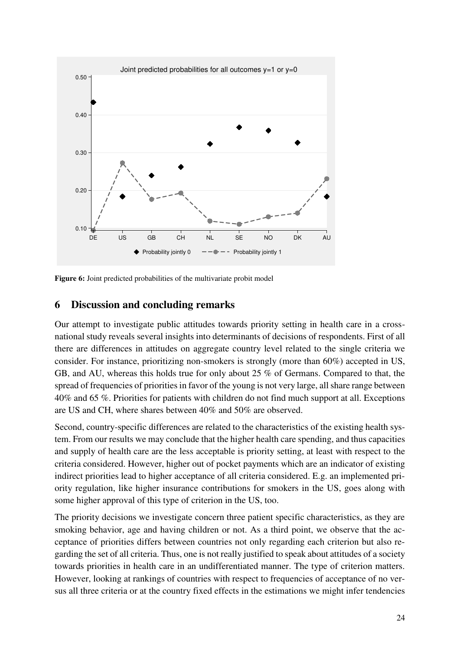

Figure 6: Joint predicted probabilities of the multivariate probit model

# **6 Discussion and concluding remarks**

Our attempt to investigate public attitudes towards priority setting in health care in a crossnational study reveals several insights into determinants of decisions of respondents. First of all there are differences in attitudes on aggregate country level related to the single criteria we consider. For instance, prioritizing non-smokers is strongly (more than 60%) accepted in US, GB, and AU, whereas this holds true for only about 25 % of Germans. Compared to that, the spread of frequencies of priorities in favor of the young is not very large, all share range between 40% and 65 %. Priorities for patients with children do not find much support at all. Exceptions are US and CH, where shares between 40% and 50% are observed.

Second, country-specific differences are related to the characteristics of the existing health system. From our results we may conclude that the higher health care spending, and thus capacities and supply of health care are the less acceptable is priority setting, at least with respect to the criteria considered. However, higher out of pocket payments which are an indicator of existing indirect priorities lead to higher acceptance of all criteria considered. E.g. an implemented priority regulation, like higher insurance contributions for smokers in the US, goes along with some higher approval of this type of criterion in the US, too.

The priority decisions we investigate concern three patient specific characteristics, as they are smoking behavior, age and having children or not. As a third point, we observe that the acceptance of priorities differs between countries not only regarding each criterion but also regarding the set of all criteria. Thus, one is not really justified to speak about attitudes of a society towards priorities in health care in an undifferentiated manner. The type of criterion matters. However, looking at rankings of countries with respect to frequencies of acceptance of no versus all three criteria or at the country fixed effects in the estimations we might infer tendencies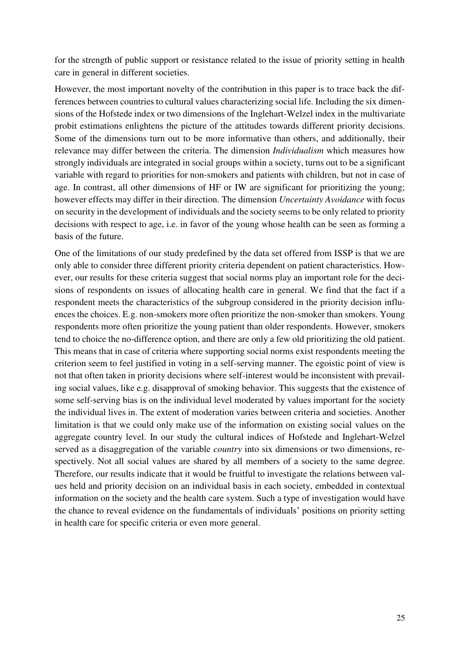for the strength of public support or resistance related to the issue of priority setting in health care in general in different societies.

However, the most important novelty of the contribution in this paper is to trace back the differences between countries to cultural values characterizing social life. Including the six dimensions of the Hofstede index or two dimensions of the Inglehart-Welzel index in the multivariate probit estimations enlightens the picture of the attitudes towards different priority decisions. Some of the dimensions turn out to be more informative than others, and additionally, their relevance may differ between the criteria. The dimension *Individualism* which measures how strongly individuals are integrated in social groups within a society, turns out to be a significant variable with regard to priorities for non-smokers and patients with children, but not in case of age. In contrast, all other dimensions of HF or IW are significant for prioritizing the young; however effects may differ in their direction. The dimension *Uncertainty Avoidance* with focus on security in the development of individuals and the society seems to be only related to priority decisions with respect to age, i.e. in favor of the young whose health can be seen as forming a basis of the future.

One of the limitations of our study predefined by the data set offered from ISSP is that we are only able to consider three different priority criteria dependent on patient characteristics. However, our results for these criteria suggest that social norms play an important role for the decisions of respondents on issues of allocating health care in general. We find that the fact if a respondent meets the characteristics of the subgroup considered in the priority decision influences the choices. E.g. non-smokers more often prioritize the non-smoker than smokers. Young respondents more often prioritize the young patient than older respondents. However, smokers tend to choice the no-difference option, and there are only a few old prioritizing the old patient. This means that in case of criteria where supporting social norms exist respondents meeting the criterion seem to feel justified in voting in a self-serving manner. The egoistic point of view is not that often taken in priority decisions where self-interest would be inconsistent with prevailing social values, like e.g. disapproval of smoking behavior. This suggests that the existence of some self-serving bias is on the individual level moderated by values important for the society the individual lives in. The extent of moderation varies between criteria and societies. Another limitation is that we could only make use of the information on existing social values on the aggregate country level. In our study the cultural indices of Hofstede and Inglehart-Welzel served as a disaggregation of the variable *country* into six dimensions or two dimensions, respectively. Not all social values are shared by all members of a society to the same degree. Therefore, our results indicate that it would be fruitful to investigate the relations between values held and priority decision on an individual basis in each society, embedded in contextual information on the society and the health care system. Such a type of investigation would have the chance to reveal evidence on the fundamentals of individuals' positions on priority setting in health care for specific criteria or even more general.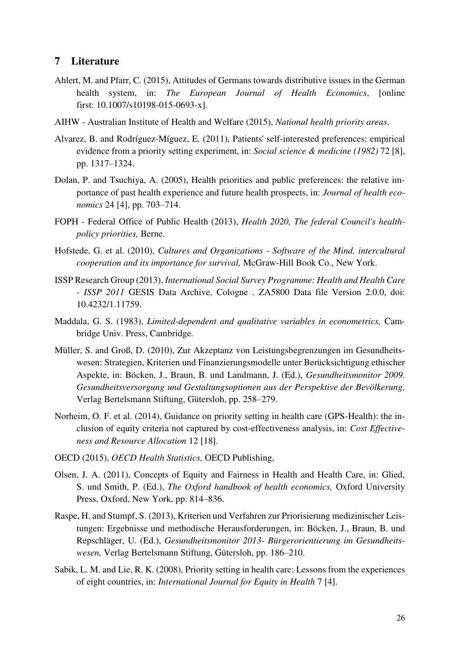# **7 Literature**

- Ahlert, M. and Pfarr, C. (2015), Attitudes of Germans towards distributive issues in the German health system, in: *The European Journal of Health Economics*, [online first: 10.1007/s10198-015-0693-x].
- AIHW Australian Institute of Health and Welfare (2015), *National health priority areas*.
- Alvarez, B. and Rodríguez-Míguez, E. (2011), Patients' self-interested preferences: empirical evidence from a priority setting experiment, in: *Social science & medicine (1982)* 72 [8], pp. 1317–1324.
- Dolan, P. and Tsuchiya, A. (2005), Health priorities and public preferences: the relative importance of past health experience and future health prospects, in: *Journal of health economics* 24 [4], pp. 703–714.
- FOPH Federal Office of Public Health (2013), *Health 2020, The federal Council's healthpolicy priorities,* Berne.
- Hofstede, G. et al. (2010), *Cultures and Organizations Software of the Mind, intercultural cooperation and its importance for survival,* McGraw-Hill Book Co., New York.
- ISSP Research Group (2013), *International Social Survey Programme: Health and Health Care - ISSP 2011* GESIS Data Archive, Cologne . ZA5800 Data file Version 2.0.0, doi: 10.4232/1.11759.
- Maddala, G. S. (1983), *Limited-dependent and qualitative variables in econometrics,* Cambridge Univ. Press, Cambridge.
- Müller, S. and Groß, D. (2010), Zur Akzeptanz von Leistungsbegrenzungen im Gesundheitswesen: Strategien, Kriterien und Finanzierungsmodelle unter Berücksichtigung ethischer Aspekte, in: Böcken, J., Braun, B. und Landmann, J. (Ed.), *Gesundheitsmonitor 2009. Gesundheitsversorgung und Gestaltungsoptionen aus der Perspektive der Bevölkerung,*  Verlag Bertelsmann Stiftung, Gütersloh, pp. 258–279.
- Norheim, O. F. et al. (2014), Guidance on priority setting in health care (GPS-Health): the inclusion of equity criteria not captured by cost-effectiveness analysis, in: *Cost Effectiveness and Resource Allocation* 12 [18].
- OECD (2015), *OECD Health Statistics,* OECD Publishing,
- Olsen, J. A. (2011), Concepts of Equity and Fairness in Health and Health Care, in: Glied, S. und Smith, P. (Ed.), *The Oxford handbook of health economics,* Oxford University Press, Oxford, New York, pp. 814–836.
- Raspe, H. and Stumpf, S. (2013), Kriterien und Verfahren zur Priorisierung medizinischer Leistungen: Ergebnisse und methodische Herausforderungen, in: Böcken, J., Braun, B. und Repschläger, U. (Ed.), *Gesundheitsmonitor 2013- Bürgerorientierung im Gesundheitswesen,* Verlag Bertelsmann Stiftung, Gütersloh, pp. 186–210.
- Sabik, L. M. and Lie, R. K. (2008), Priority setting in health care: Lessons from the experiences of eight countries, in: *International Journal for Equity in Health* 7 [4].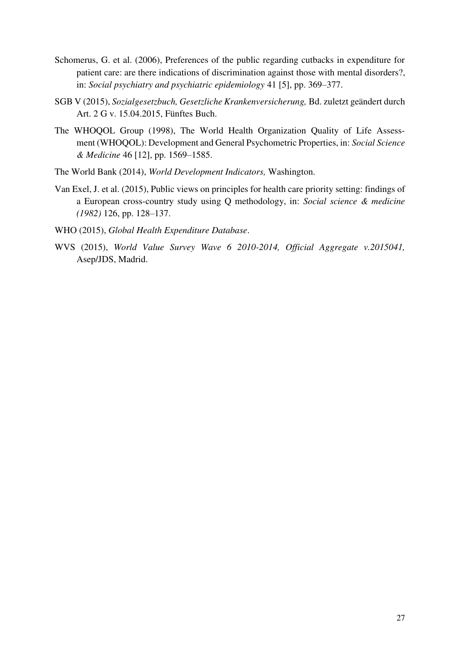- Schomerus, G. et al. (2006), Preferences of the public regarding cutbacks in expenditure for patient care: are there indications of discrimination against those with mental disorders?, in: *Social psychiatry and psychiatric epidemiology* 41 [5], pp. 369–377.
- SGB V (2015), *Sozialgesetzbuch, Gesetzliche Krankenversicherung,* Bd. zuletzt geändert durch Art. 2 G v. 15.04.2015, Fünftes Buch.
- The WHOQOL Group (1998), The World Health Organization Quality of Life Assessment (WHOQOL): Development and General Psychometric Properties, in: *Social Science & Medicine* 46 [12], pp. 1569–1585.
- The World Bank (2014), *World Development Indicators,* Washington.
- Van Exel, J. et al. (2015), Public views on principles for health care priority setting: findings of a European cross-country study using Q methodology, in: *Social science & medicine (1982)* 126, pp. 128–137.
- WHO (2015), *Global Health Expenditure Database*.
- WVS (2015), *World Value Survey Wave 6 2010-2014, Official Aggregate v.2015041,*  Asep/JDS, Madrid.